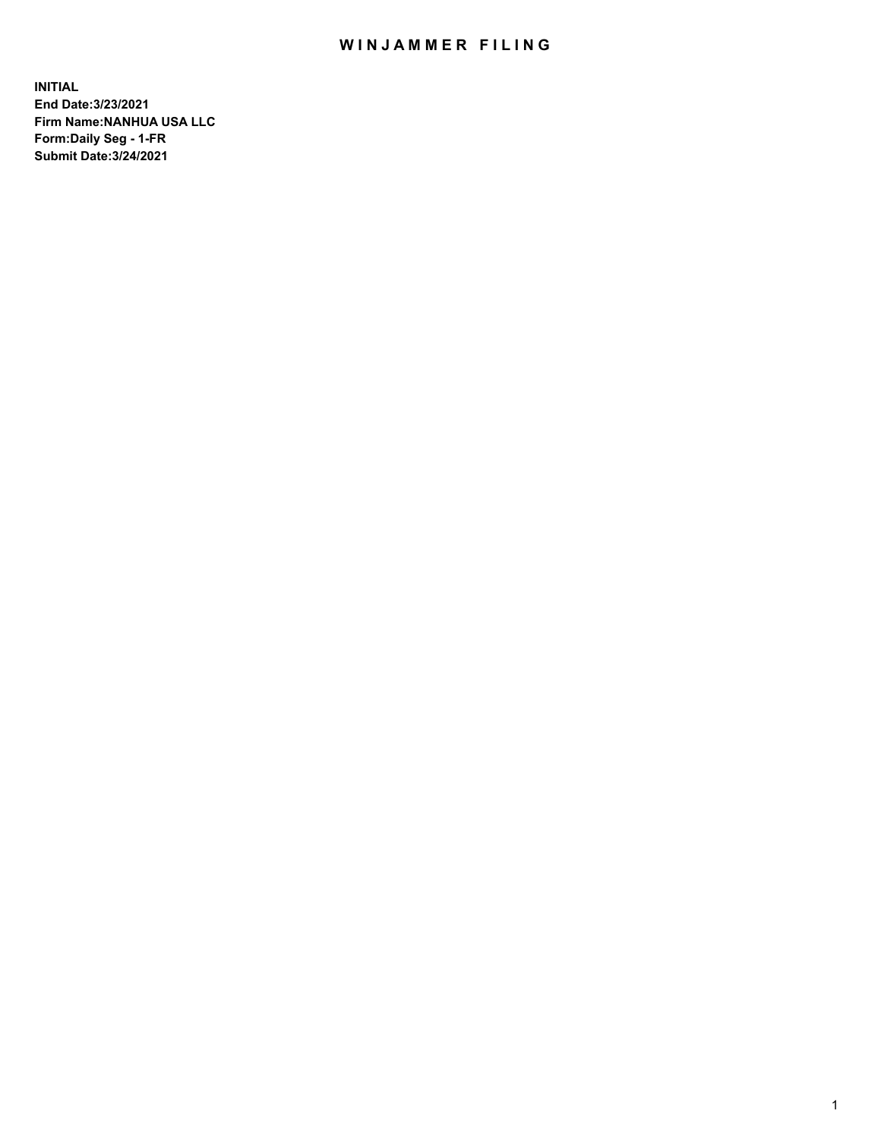## WIN JAMMER FILING

**INITIAL End Date:3/23/2021 Firm Name:NANHUA USA LLC Form:Daily Seg - 1-FR Submit Date:3/24/2021**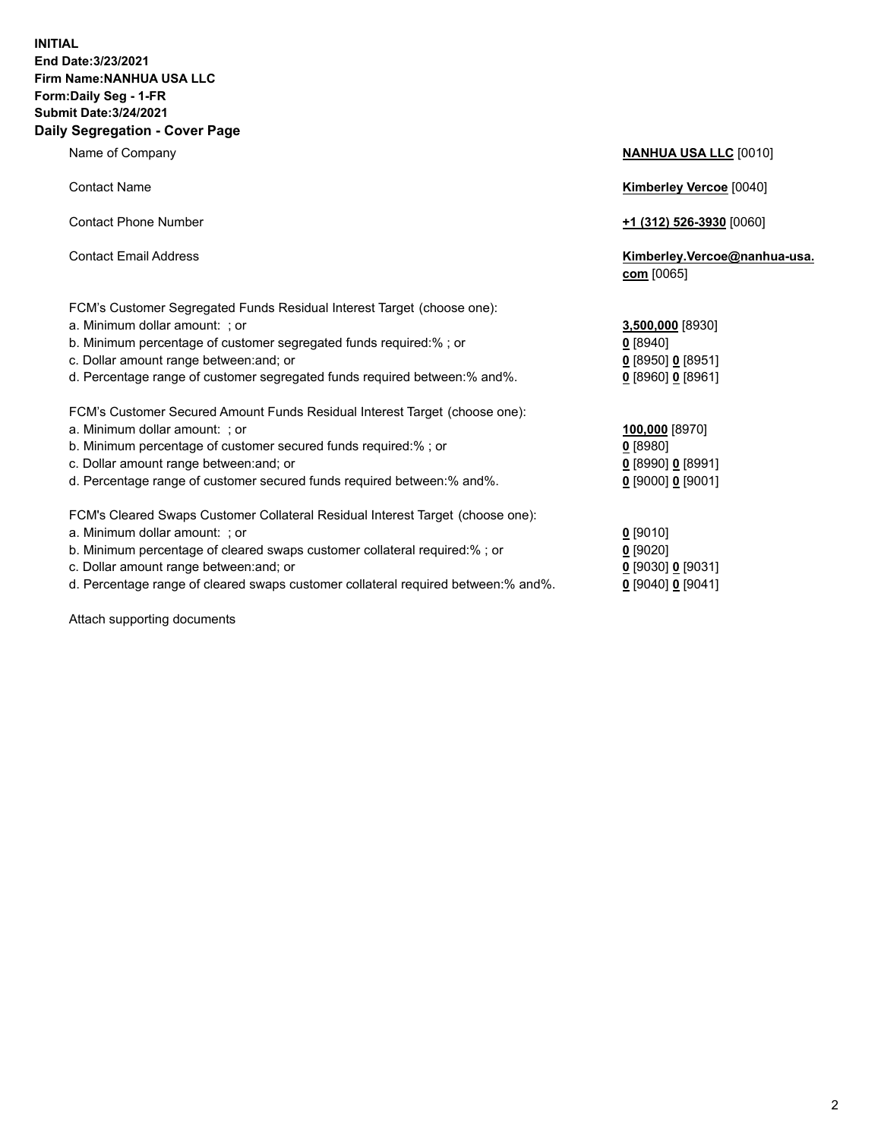## **INITIAL End Date:3/23/2021 Firm Name:NANHUA USA LLC Form:Daily Seg - 1-FR Submit Date:3/24/2021 Daily Segregation - Cover Page**

Name of Company **NANHUA USA LLC** [0010] Contact Name **Kimberley Vercoe** [0040] Contact Phone Number **+1 (312) 526-3930** [0060] Contact Email Address **Kimberley.Vercoe@nanhua-usa. com** [0065] FCM's Customer Segregated Funds Residual Interest Target (choose one): a. Minimum dollar amount: ; or **3,500,000** [8930] b. Minimum percentage of customer segregated funds required:% ; or **0** [8940] c. Dollar amount range between:and; or **0** [8950] **0** [8951] d. Percentage range of customer segregated funds required between:% and%. **0** [8960] **0** [8961] FCM's Customer Secured Amount Funds Residual Interest Target (choose one): a. Minimum dollar amount: ; or **100,000** [8970] b. Minimum percentage of customer secured funds required:% ; or **0** [8980] c. Dollar amount range between:and; or **0** [8990] **0** [8991] d. Percentage range of customer secured funds required between:% and%. **0** [9000] **0** [9001] FCM's Cleared Swaps Customer Collateral Residual Interest Target (choose one): a. Minimum dollar amount: ; or **0** [9010] b. Minimum percentage of cleared swaps customer collateral required:% ; or **0** [9020] c. Dollar amount range between:and; or **0** [9030] **0** [9031]

d. Percentage range of cleared swaps customer collateral required between:% and%. **0** [9040] **0** [9041]

Attach supporting documents

| Jollar amount range between:and; or                                          | 0.1895010.189511      |
|------------------------------------------------------------------------------|-----------------------|
| Percentage range of customer segregated funds required between:% and%.       | $0$ [8960] $0$ [8961] |
| M's Customer Secured Amount Funds Residual Interest Target (choose one):     |                       |
| Minimum dollar amount: ;or                                                   | 100,000 [8970]        |
| Minimum percentage of customer secured funds required:% ; or                 | $0$ [8980]            |
| Dollar amount range between:and; or                                          | $0$ [8990] $0$ [8991] |
| Percentage range of customer secured funds required between:% and%.          | $0$ [9000] 0 [9001]   |
| M's Cleared Swaps Customer Collateral Residual Interest Target (choose one): |                       |
| Minimum dollar amount: ;or                                                   | $0$ [9010]            |
| Minimum percentage of cleared swaps customer collateral required:% ; or      | $0$ [9020]            |
|                                                                              |                       |

2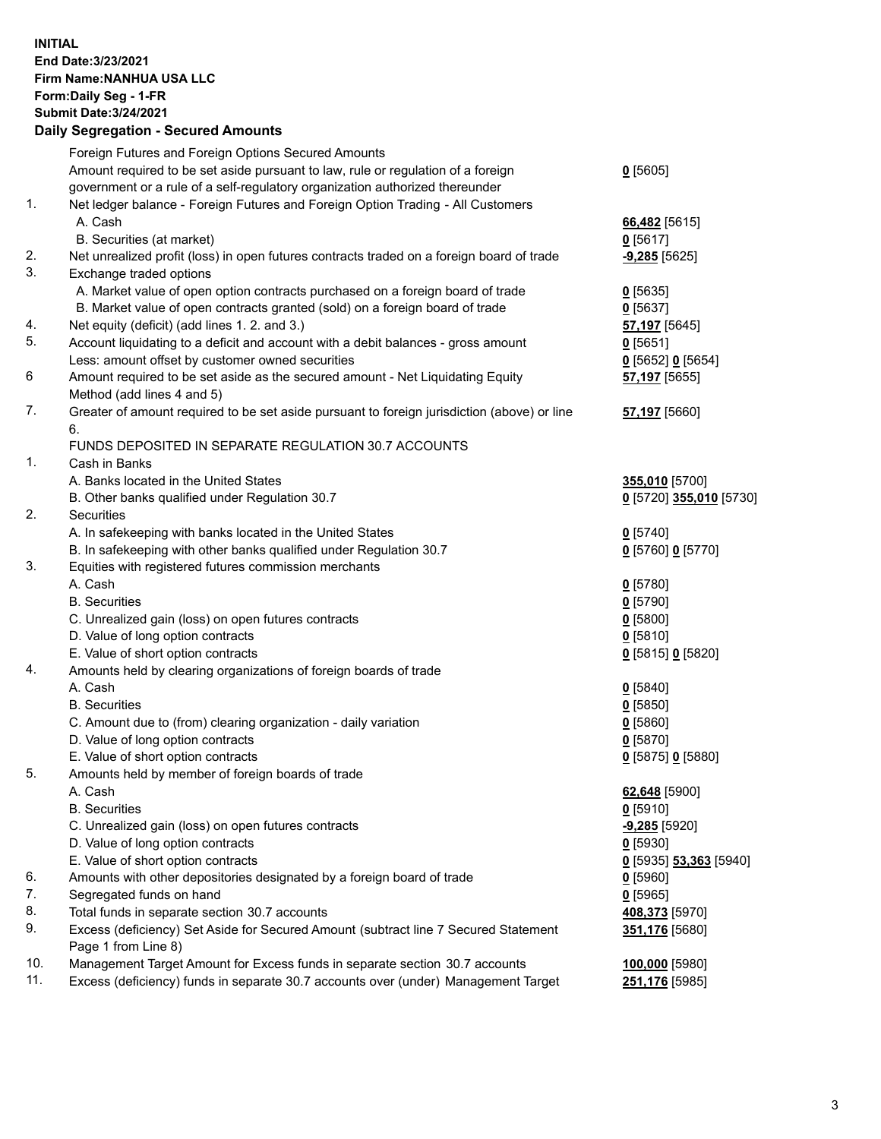## **INITIAL End Date:3/23/2021 Firm Name:NANHUA USA LLC Form:Daily Seg - 1-FR Submit Date:3/24/2021 Daily Segregation - Secured Amounts**

|     | Foreign Futures and Foreign Options Secured Amounts<br>Amount required to be set aside pursuant to law, rule or regulation of a foreign | $0$ [5605]                       |
|-----|-----------------------------------------------------------------------------------------------------------------------------------------|----------------------------------|
|     | government or a rule of a self-regulatory organization authorized thereunder                                                            |                                  |
| 1.  | Net ledger balance - Foreign Futures and Foreign Option Trading - All Customers                                                         |                                  |
|     | A. Cash                                                                                                                                 | 66,482 [5615]                    |
|     | B. Securities (at market)                                                                                                               | $0$ [5617]                       |
| 2.  | Net unrealized profit (loss) in open futures contracts traded on a foreign board of trade                                               | $-9,285$ [5625]                  |
| 3.  | Exchange traded options                                                                                                                 |                                  |
|     | A. Market value of open option contracts purchased on a foreign board of trade                                                          | $0$ [5635]                       |
|     | B. Market value of open contracts granted (sold) on a foreign board of trade                                                            | $0$ [5637]                       |
| 4.  | Net equity (deficit) (add lines 1. 2. and 3.)                                                                                           | <b>57,197</b> [5645]             |
| 5.  | Account liquidating to a deficit and account with a debit balances - gross amount                                                       |                                  |
|     | Less: amount offset by customer owned securities                                                                                        | $0$ [5651]<br>0 [5652] 0 [5654]  |
| 6   | Amount required to be set aside as the secured amount - Net Liquidating Equity                                                          | 57,197 [5655]                    |
|     | Method (add lines 4 and 5)                                                                                                              |                                  |
| 7.  | Greater of amount required to be set aside pursuant to foreign jurisdiction (above) or line                                             | 57,197 [5660]                    |
|     | 6.                                                                                                                                      |                                  |
|     | FUNDS DEPOSITED IN SEPARATE REGULATION 30.7 ACCOUNTS                                                                                    |                                  |
| 1.  | Cash in Banks                                                                                                                           |                                  |
|     | A. Banks located in the United States                                                                                                   | 355,010 [5700]                   |
|     |                                                                                                                                         | 0 [5720] 355,010 [5730]          |
| 2.  | B. Other banks qualified under Regulation 30.7<br><b>Securities</b>                                                                     |                                  |
|     |                                                                                                                                         |                                  |
|     | A. In safekeeping with banks located in the United States                                                                               | $0$ [5740]                       |
| 3.  | B. In safekeeping with other banks qualified under Regulation 30.7<br>Equities with registered futures commission merchants             | 0 [5760] 0 [5770]                |
|     | A. Cash                                                                                                                                 | $0$ [5780]                       |
|     | <b>B.</b> Securities                                                                                                                    | $0$ [5790]                       |
|     | C. Unrealized gain (loss) on open futures contracts                                                                                     | $0$ [5800]                       |
|     | D. Value of long option contracts                                                                                                       |                                  |
|     |                                                                                                                                         | $0$ [5810]                       |
| 4.  | E. Value of short option contracts                                                                                                      | 0 [5815] 0 [5820]                |
|     | Amounts held by clearing organizations of foreign boards of trade<br>A. Cash                                                            |                                  |
|     | <b>B.</b> Securities                                                                                                                    | $0$ [5840]                       |
|     |                                                                                                                                         | $0$ [5850]                       |
|     | C. Amount due to (from) clearing organization - daily variation                                                                         | $0$ [5860]                       |
|     | D. Value of long option contracts                                                                                                       | $0$ [5870]                       |
| 5.  | E. Value of short option contracts<br>Amounts held by member of foreign boards of trade                                                 | 0 [5875] 0 [5880]                |
|     | A. Cash                                                                                                                                 | 62,648 [5900]                    |
|     | <b>B.</b> Securities                                                                                                                    |                                  |
|     | C. Unrealized gain (loss) on open futures contracts                                                                                     | $0$ [5910]<br>$-9,285$ [5920]    |
|     | D. Value of long option contracts                                                                                                       |                                  |
|     | E. Value of short option contracts                                                                                                      | $0$ [5930]                       |
| 6.  |                                                                                                                                         | 0 [5935] 53,363 [5940]           |
| 7.  | Amounts with other depositories designated by a foreign board of trade<br>Segregated funds on hand                                      | $0$ [5960]<br>$0$ [5965]         |
| 8.  |                                                                                                                                         |                                  |
| 9.  | Total funds in separate section 30.7 accounts<br>Excess (deficiency) Set Aside for Secured Amount (subtract line 7 Secured Statement    | 408,373 [5970]<br>351,176 [5680] |
|     | Page 1 from Line 8)                                                                                                                     |                                  |
| 10. | Management Target Amount for Excess funds in separate section 30.7 accounts                                                             | 100,000 [5980]                   |
| 11. | Excess (deficiency) funds in separate 30.7 accounts over (under) Management Target                                                      | 251,176 [5985]                   |
|     |                                                                                                                                         |                                  |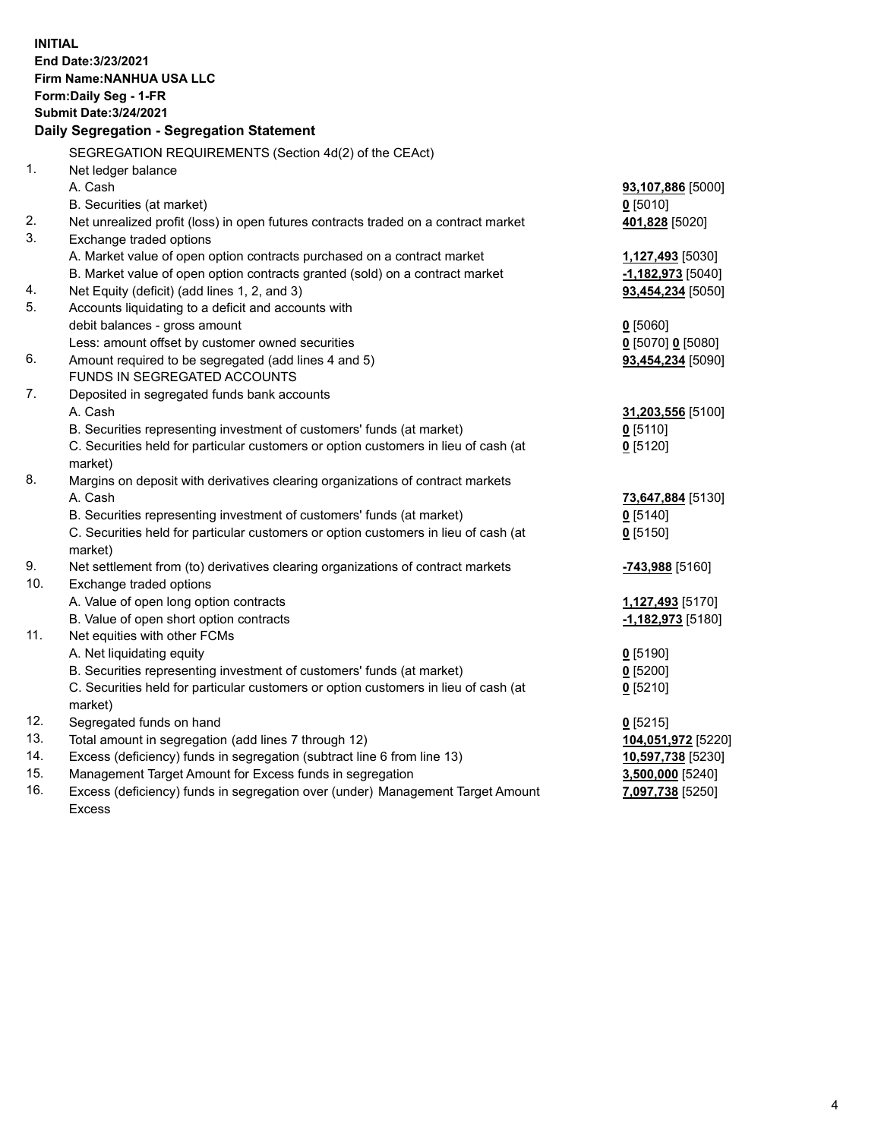| <b>INITIAL</b> | End Date: 3/23/2021<br><b>Firm Name: NANHUA USA LLC</b><br>Form: Daily Seg - 1-FR<br><b>Submit Date: 3/24/2021</b><br>Daily Segregation - Segregation Statement |                          |
|----------------|-----------------------------------------------------------------------------------------------------------------------------------------------------------------|--------------------------|
|                | SEGREGATION REQUIREMENTS (Section 4d(2) of the CEAct)                                                                                                           |                          |
| 1.             | Net ledger balance                                                                                                                                              |                          |
|                | A. Cash                                                                                                                                                         | 93,107,886 [5000]        |
|                | B. Securities (at market)                                                                                                                                       | $0$ [5010]               |
| 2.             | Net unrealized profit (loss) in open futures contracts traded on a contract market                                                                              | 401,828 [5020]           |
| 3.             | Exchange traded options                                                                                                                                         |                          |
|                | A. Market value of open option contracts purchased on a contract market                                                                                         | <u>1,127,493</u> [5030]  |
|                | B. Market value of open option contracts granted (sold) on a contract market                                                                                    | $-1,182,973$ [5040]      |
| 4.<br>5.       | Net Equity (deficit) (add lines 1, 2, and 3)<br>Accounts liquidating to a deficit and accounts with                                                             | <b>93,454,234</b> [5050] |
|                | debit balances - gross amount                                                                                                                                   | $0$ [5060]               |
|                | Less: amount offset by customer owned securities                                                                                                                | 0 [5070] 0 [5080]        |
| 6.             | Amount required to be segregated (add lines 4 and 5)                                                                                                            | 93,454,234 [5090]        |
|                | FUNDS IN SEGREGATED ACCOUNTS                                                                                                                                    |                          |
| 7.             | Deposited in segregated funds bank accounts                                                                                                                     |                          |
|                | A. Cash                                                                                                                                                         | 31,203,556 [5100]        |
|                | B. Securities representing investment of customers' funds (at market)                                                                                           | $0$ [5110]               |
|                | C. Securities held for particular customers or option customers in lieu of cash (at                                                                             | $0$ [5120]               |
|                | market)                                                                                                                                                         |                          |
| 8.             | Margins on deposit with derivatives clearing organizations of contract markets                                                                                  |                          |
|                | A. Cash                                                                                                                                                         | 73,647,884 [5130]        |
|                | B. Securities representing investment of customers' funds (at market)                                                                                           | $0$ [5140]               |
|                | C. Securities held for particular customers or option customers in lieu of cash (at                                                                             | $0$ [5150]               |
|                | market)                                                                                                                                                         |                          |
| 9.<br>10.      | Net settlement from (to) derivatives clearing organizations of contract markets                                                                                 | -743,988 [5160]          |
|                | Exchange traded options<br>A. Value of open long option contracts                                                                                               | <u>1,127,493</u> [5170]  |
|                | B. Value of open short option contracts                                                                                                                         | $-1,182,973$ [5180]      |
| 11.            | Net equities with other FCMs                                                                                                                                    |                          |
|                | A. Net liquidating equity                                                                                                                                       | $0$ [5190]               |
|                | B. Securities representing investment of customers' funds (at market)                                                                                           | $0$ [5200]               |
|                | C. Securities held for particular customers or option customers in lieu of cash (at                                                                             | $0$ [5210]               |
|                | market)                                                                                                                                                         |                          |
| 12.            | Segregated funds on hand                                                                                                                                        | $0$ [5215]               |
| 13.            | Total amount in segregation (add lines 7 through 12)                                                                                                            | 104,051,972 [5220]       |
| 14.            | Excess (deficiency) funds in segregation (subtract line 6 from line 13)                                                                                         | 10,597,738 [5230]        |
| 15.            | Management Target Amount for Excess funds in segregation                                                                                                        | 3,500,000 [5240]         |
| 16.            | Excess (deficiency) funds in segregation over (under) Management Target Amount                                                                                  | 7,097,738 [5250]         |
|                | <b>Excess</b>                                                                                                                                                   |                          |